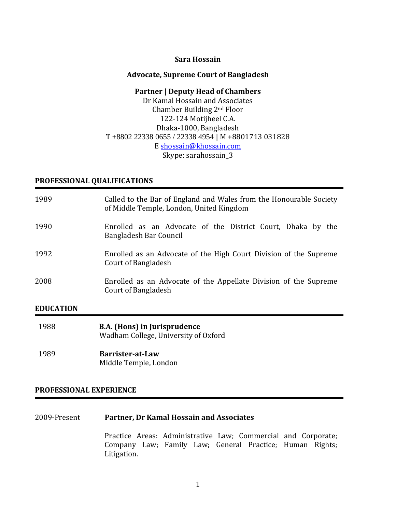### **Sara Hossain**

### **Advocate, Supreme Court of Bangladesh**

### **Partner | Deputy Head of Chambers**

Dr Kamal Hossain and Associates Chamber Building 2nd Floor 122-124 Motijheel C.A. Dhaka-1000, Bangladesh T +8802 22338 0655 / 22338 4954 | M +8801713 031828 E [shossain@khossain.com](mailto:shossain@khossain.com) Skype: sarahossain\_3

### **PROFESSIONAL QUALIFICATIONS**

| 1989             | Called to the Bar of England and Wales from the Honourable Society<br>of Middle Temple, London, United Kingdom |
|------------------|----------------------------------------------------------------------------------------------------------------|
| 1990             | Enrolled as an Advocate of the District Court, Dhaka by the<br>Bangladesh Bar Council                          |
| 1992             | Enrolled as an Advocate of the High Court Division of the Supreme<br>Court of Bangladesh                       |
| 2008             | Enrolled as an Advocate of the Appellate Division of the Supreme<br>Court of Bangladesh                        |
| <b>EDUCATION</b> |                                                                                                                |
| 1988             | <b>B.A.</b> (Hons) in Jurisprudence<br>Wadham College, University of Oxford                                    |

1989 **Barrister-at-Law** Middle Temple, London

### **PROFESSIONAL EXPERIENCE**

2009-Present **Partner, Dr Kamal Hossain and Associates**

Practice Areas: Administrative Law; Commercial and Corporate; Company Law; Family Law; General Practice; Human Rights; Litigation.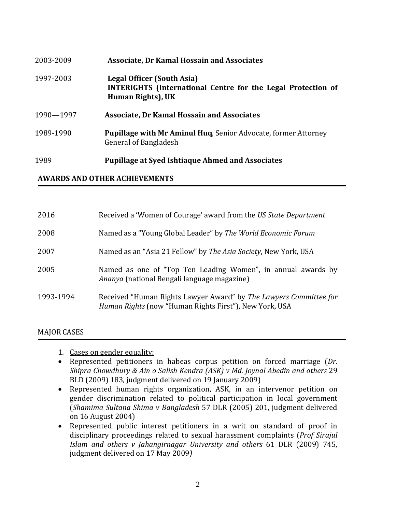| 2003-2009 | <b>Associate, Dr Kamal Hossain and Associates</b>                                                                      |
|-----------|------------------------------------------------------------------------------------------------------------------------|
| 1997-2003 | Legal Officer (South Asia)<br><b>INTERIGHTS</b> (International Centre for the Legal Protection of<br>Human Rights), UK |
| 1990-1997 | <b>Associate, Dr Kamal Hossain and Associates</b>                                                                      |
| 1989-1990 | <b>Pupillage with Mr Aminul Huq, Senior Advocate, former Attorney</b><br>General of Bangladesh                         |
| 1989      | <b>Pupillage at Syed Ishtiaque Ahmed and Associates</b>                                                                |

## **AWARDS AND OTHER ACHIEVEMENTS**

| Received a 'Women of Courage' award from the US State Department                                                            |
|-----------------------------------------------------------------------------------------------------------------------------|
| Named as a "Young Global Leader" by The World Economic Forum                                                                |
| Named as an "Asia 21 Fellow" by The Asia Society, New York, USA                                                             |
| Named as one of "Top Ten Leading Women", in annual awards by<br><i>Ananya</i> (national Bengali language magazine)          |
| Received "Human Rights Lawyer Award" by The Lawyers Committee for<br>Human Rights (now "Human Rights First"), New York, USA |
|                                                                                                                             |

## MAJOR CASES

- 1. Cases on gender equality:
- Represented petitioners in habeas corpus petition on forced marriage (*Dr. Shipra Chowdhury & Ain o Salish Kendra (ASK) v Md. Joynal Abedin and others* 29 BLD (2009) 183, judgment delivered on 19 January 2009)
- Represented human rights organization, ASK, in an intervenor petition on gender discrimination related to political participation in local government (*Shamima Sultana Shima v Bangladesh* 57 DLR (2005) 201, judgment delivered on 16 August 2004)
- Represented public interest petitioners in a writ on standard of proof in disciplinary proceedings related to sexual harassment complaints (*Prof Sirajul Islam and others v Jahangirnagar University and others* 61 DLR (2009) 745, judgment delivered on 17 May 2009*)*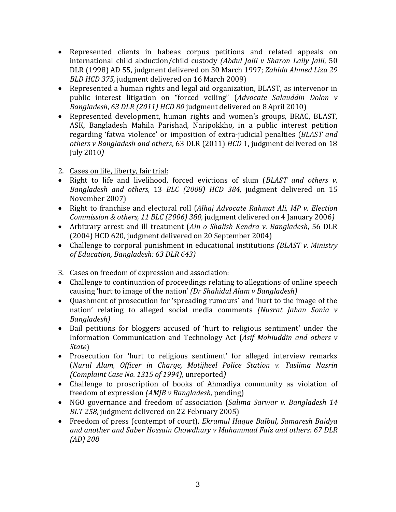- Represented clients in habeas corpus petitions and related appeals on international child abduction/child custody *(Abdul Jalil v Sharon Laily Jalil*, 50 DLR (1998) AD 55, judgment delivered on 30 March 1997; *Zahida Ahmed Liza 29 BLD HCD 375,* judgment delivered on 16 March 2009)
- Represented a human rights and legal aid organization, BLAST, as intervenor in public interest litigation on "forced veiling" (*Advocate Salauddin Dolon v Bangladesh*, *63 DLR (2011) HCD 80* judgment delivered on 8April 2010)
- Represented development, human rights and women's groups, BRAC, BLAST, ASK, Bangladesh Mahila Parishad, Naripokkho, in a public interest petition regarding 'fatwa violence' or imposition of extra-judicial penalties (*BLAST and others v Bangladesh and others*, 63 DLR (2011) *HCD* 1, judgment delivered on 18 July 2010*)*
- 2. Cases on life, liberty, fair trial:
- Right to life and livelihood, forced evictions of slum (*BLAST and others v. Bangladesh and others,* 13 *BLC (2008) HCD 384,* judgment delivered on 15 November 2007)
- Right to franchise and electoral roll (*Alhaj Advocate Rahmat Ali, MP v. Election Commission & others, 11 BLC (2006) 380,* judgment delivered on 4 January 2006*)*
- Arbitrary arrest and ill treatment (*Ain o Shalish Kendra v. Bangladesh*, 56 DLR (2004) HCD 620, judgment delivered on 20 September 2004)
- Challenge to corporal punishment in educational institutions *(BLAST v. Ministry of Education, Bangladesh: 63 DLR 643)*
- 3. Cases on freedom of expression and association:
- Challenge to continuation of proceedings relating to allegations of online speech causing 'hurt to image of the nation' *(Dr Shahidul Alam v Bangladesh)*
- Quashment of prosecution for 'spreading rumours' and 'hurt to the image of the nation' relating to alleged social media comments *(Nusrat Jahan Sonia v Bangladesh)*
- Bail petitions for bloggers accused of 'hurt to religious sentiment' under the Information Communication and Technology Act (*Asif Mohiuddin and others v State*)
- Prosecution for 'hurt to religious sentiment' for alleged interview remarks (*Nurul Alam, Officer in Charge, Motijheel Police Station v. Taslima Nasrin (Complaint Case No. 1315 of 1994),* unreported*)*
- Challenge to proscription of books of Ahmadiya community as violation of freedom of expression *(AMJB v Bangladesh,* pending)
- NGO governance and freedom of association (*Salima Sarwar v. Bangladesh 14 BLT 258*, judgment delivered on 22 February 2005)
- Freedom of press (contempt of court), *Ekramul Haque Balbul, Samaresh Baidya and another and Saber Hossain Chowdhury v Muhammad Faiz and others: 67 DLR (AD) 208*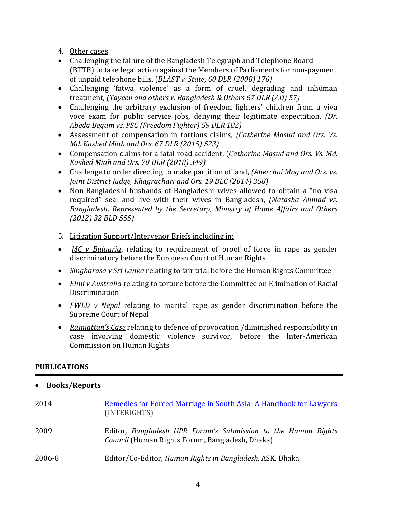- 4. Other cases
- Challenging the failure of the Bangladesh Telegraph and Telephone Board (BTTB) to take legal action against the Members of Parliaments for non-payment of unpaid telephone bills, (*BLAST v. State, 60 DLR (2008) 176)*
- Challenging 'fatwa violence' as a form of cruel, degrading and inhuman treatment, *(Tayeeb and others v. Bangladesh & Others 67 DLR (AD) 57)*
- Challenging the arbitrary exclusion of freedom fighters' children from a viva voce exam for public service jobs, denying their legitimate expectation, *(Dr. Abeda Begum vs. PSC (Freedom Fighter) 59 DLR 182)*
- Assessment of compensation in tortious claims, *(Catherine Masud and Ors. Vs. Md. Kashed Miah and Ors. 67 DLR (2015) 523)*
- Compensation claims for a fatal road accident, (*Catherine Masud and Ors. Vs. Md. Kashed Miah and Ors. 70 DLR (2018) 349)*
- Challenge to order directing to make partition of land, *(Aberchai Mog and Ors. vs. Joint District Judge, Khagrachari and Ors. 19 BLC (2014) 358)*
- Non-Bangladeshi husbands of Bangladeshi wives allowed to obtain a "no visa required" seal and live with their wives in Bangladesh, *(Natasha Ahmad vs. Bangladesh, Represented by the Secretary, Ministry of Home Affairs and Others (2012) 32 BLD 555)*
- 5. Litigation Support/Intervenor Briefs including in:
- *MC v Bulgaria*, relating to requirement of proof of force in rape as gender discriminatory before the European Court of Human Rights
- *Singharasa v Sri Lanka* relating to fair trial before the Human Rights Committee
- *Elmi v Australia* relating to torture before the Committee on Elimination of Racial Discrimination
- *FWLD v Nepal* relating to marital rape as gender discrimination before the Supreme Court of Nepal
- *Ramjattan's Case* relating to defence of provocation /diminished responsibility in case involving domestic violence survivor, before the Inter-American Commission on Human Rights

# **PUBLICATIONS**

| <b>Books/Reports</b> |
|----------------------|
|----------------------|

| 2014   | Remedies for Forced Marriage in South Asia: A Handbook for Lawyers<br>(INTERIGHTS)                               |
|--------|------------------------------------------------------------------------------------------------------------------|
| 2009   | Editor, Bangladesh UPR Forum's Submission to the Human Rights<br>Council (Human Rights Forum, Bangladesh, Dhaka) |
| 2006-8 | Editor/Co-Editor, Human Rights in Bangladesh, ASK, Dhaka                                                         |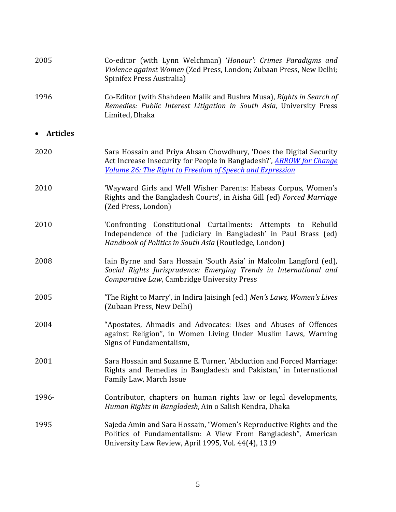| 2005            | Co-editor (with Lynn Welchman) 'Honour': Crimes Paradigms and<br>Violence against Women (Zed Press, London; Zubaan Press, New Delhi;<br>Spinifex Press Australia)                                      |  |  |
|-----------------|--------------------------------------------------------------------------------------------------------------------------------------------------------------------------------------------------------|--|--|
| 1996            | Co-Editor (with Shahdeen Malik and Bushra Musa), Rights in Search of<br>Remedies: Public Interest Litigation in South Asia, University Press<br>Limited, Dhaka                                         |  |  |
| <b>Articles</b> |                                                                                                                                                                                                        |  |  |
| 2020            | Sara Hossain and Priya Ahsan Chowdhury, 'Does the Digital Security<br>Act Increase Insecurity for People in Bangladesh?', ARROW for Change<br>Volume 26: The Right to Freedom of Speech and Expression |  |  |
| 2010            | 'Wayward Girls and Well Wisher Parents: Habeas Corpus, Women's<br>Rights and the Bangladesh Courts', in Aisha Gill (ed) Forced Marriage<br>(Zed Press, London)                                         |  |  |
| 2010            | 'Confronting Constitutional Curtailments: Attempts to Rebuild<br>Independence of the Judiciary in Bangladesh' in Paul Brass (ed)<br>Handbook of Politics in South Asia (Routledge, London)             |  |  |
| 2008            | Iain Byrne and Sara Hossain 'South Asia' in Malcolm Langford (ed),<br>Social Rights Jurisprudence: Emerging Trends in International and<br>Comparative Law, Cambridge University Press                 |  |  |
| 2005            | 'The Right to Marry', in Indira Jaisingh (ed.) Men's Laws, Women's Lives<br>(Zubaan Press, New Delhi)                                                                                                  |  |  |
| 2004            | "Apostates, Ahmadis and Advocates: Uses and Abuses of Offences<br>against Religion", in Women Living Under Muslim Laws, Warning<br>Signs of Fundamentalism,                                            |  |  |
| 2001            | Sara Hossain and Suzanne E. Turner, 'Abduction and Forced Marriage:<br>Rights and Remedies in Bangladesh and Pakistan,' in International<br>Family Law, March Issue                                    |  |  |
| 1996-           | Contributor, chapters on human rights law or legal developments,<br>Human Rights in Bangladesh, Ain o Salish Kendra, Dhaka                                                                             |  |  |
| 1995            | Sajeda Amin and Sara Hossain, "Women's Reproductive Rights and the<br>Politics of Fundamentalism: A View From Bangladesh", American<br>University Law Review, April 1995, Vol. 44(4), 1319             |  |  |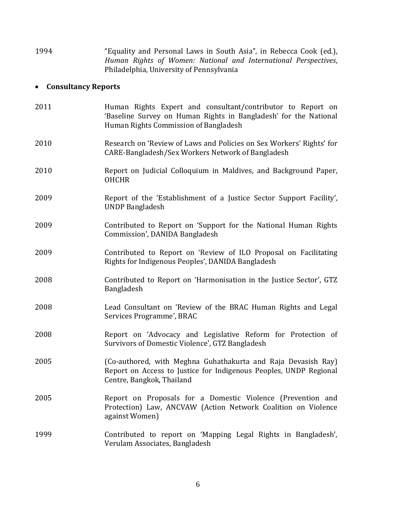| 1994 |                                          |  | "Equality and Personal Laws in South Asia", in Rebecca Cook (ed.), |  |
|------|------------------------------------------|--|--------------------------------------------------------------------|--|
|      |                                          |  | Human Rights of Women: National and International Perspectives,    |  |
|      | Philadelphia, University of Pennsylvania |  |                                                                    |  |

# • **Consultancy Reports**

| 2011 | Human Rights Expert and consultant/contributor to Report on<br>'Baseline Survey on Human Rights in Bangladesh' for the National<br>Human Rights Commission of Bangladesh |
|------|--------------------------------------------------------------------------------------------------------------------------------------------------------------------------|
| 2010 | Research on 'Review of Laws and Policies on Sex Workers' Rights' for<br>CARE-Bangladesh/Sex Workers Network of Bangladesh                                                |
| 2010 | Report on Judicial Colloquium in Maldives, and Background Paper,<br><b>OHCHR</b>                                                                                         |
| 2009 | Report of the 'Establishment of a Justice Sector Support Facility',<br><b>UNDP Bangladesh</b>                                                                            |
| 2009 | Contributed to Report on 'Support for the National Human Rights<br>Commission', DANIDA Bangladesh                                                                        |
| 2009 | Contributed to Report on 'Review of ILO Proposal on Facilitating<br>Rights for Indigenous Peoples', DANIDA Bangladesh                                                    |
| 2008 | Contributed to Report on 'Harmonisation in the Justice Sector', GTZ<br>Bangladesh                                                                                        |
| 2008 | Lead Consultant on 'Review of the BRAC Human Rights and Legal<br>Services Programme', BRAC                                                                               |
| 2008 | Report on 'Advocacy and Legislative Reform for Protection of<br>Survivors of Domestic Violence', GTZ Bangladesh                                                          |
| 2005 | (Co-authored, with Meghna Guhathakurta and Raja Devasish Ray)<br>Report on Access to Justice for Indigenous Peoples, UNDP Regional<br>Centre, Bangkok, Thailand          |
| 2005 | Report on Proposals for a Domestic Violence (Prevention and<br>Protection) Law, ANCVAW (Action Network Coalition on Violence<br>against Women)                           |
| 1999 | Contributed to report on 'Mapping Legal Rights in Bangladesh',<br>Verulam Associates, Bangladesh                                                                         |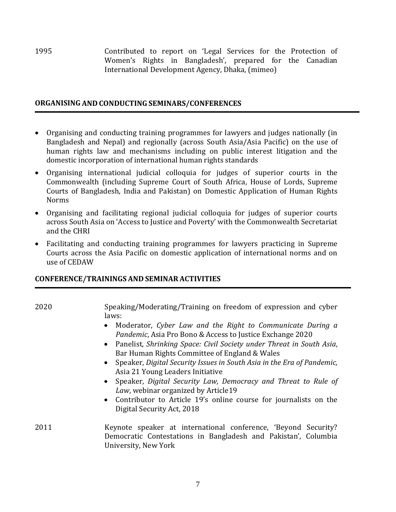1995 Contributed to report on 'Legal Services for the Protection of Women's Rights in Bangladesh', prepared for the Canadian International Development Agency, Dhaka, (mimeo)

### **ORGANISING AND CONDUCTING SEMINARS/CONFERENCES**

- Organising and conducting training programmes for lawyers and judges nationally (in Bangladesh and Nepal) and regionally (across South Asia/Asia Pacific) on the use of human rights law and mechanisms including on public interest litigation and the domestic incorporation of international human rights standards
- Organising international judicial colloquia for judges of superior courts in the Commonwealth (including Supreme Court of South Africa, House of Lords, Supreme Courts of Bangladesh, India and Pakistan) on Domestic Application of Human Rights Norms
- Organising and facilitating regional judicial colloquia for judges of superior courts across South Asia on 'Access to Justice and Poverty' with the Commonwealth Secretariat and the CHRI
- Facilitating and conducting training programmes for lawyers practicing in Supreme Courts across the Asia Pacific on domestic application of international norms and on use of CEDAW

## **CONFERENCE/TRAININGS AND SEMINAR ACTIVITIES**

| 2020 | Speaking/Moderating/Training on freedom of expression and cyber<br>laws:                                                                                                                                                                                                                                                                                             |
|------|----------------------------------------------------------------------------------------------------------------------------------------------------------------------------------------------------------------------------------------------------------------------------------------------------------------------------------------------------------------------|
|      | • Moderator, Cyber Law and the Right to Communicate During a<br>Pandemic, Asia Pro Bono & Access to Justice Exchange 2020<br>• Panelist, Shrinking Space: Civil Society under Threat in South Asia,<br>Bar Human Rights Committee of England & Wales<br>• Speaker, Digital Security Issues in South Asia in the Era of Pandemic,<br>Asia 21 Young Leaders Initiative |
|      | • Speaker, Digital Security Law, Democracy and Threat to Rule of<br>Law, webinar organized by Article19                                                                                                                                                                                                                                                              |

- Contributor to Article 19's online course for journalists on the Digital Security Act, 2018
- 2011 Keynote speaker at international conference, 'Beyond Security? Democratic Contestations in Bangladesh and Pakistan', Columbia University, New York